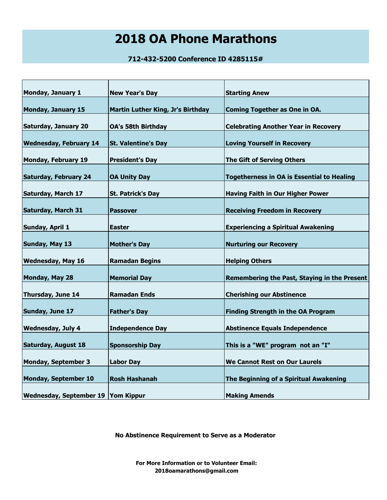## **2018 OA Phone Marathons**

**712-432-5200 Conference ID 4285115#**

| Monday, January 1                         | <b>New Year's Day</b>                    | <b>Starting Anew</b>                              |
|-------------------------------------------|------------------------------------------|---------------------------------------------------|
| <b>Monday, January 15</b>                 | <b>Martin Luther King, Jr's Birthday</b> | <b>Coming Together as One in OA.</b>              |
| <b>Saturday, January 20</b>               | <b>OA's 58th Birthday</b>                | <b>Celebrating Another Year in Recovery</b>       |
| <b>Wednesday, February 14</b>             | <b>St. Valentine's Day</b>               | <b>Loving Yourself in Recovery</b>                |
| Monday, February 19                       | <b>President's Day</b>                   | The Gift of Serving Others                        |
| <b>Saturday, February 24</b>              | <b>OA Unity Day</b>                      | <b>Togetherness in OA is Essential to Healing</b> |
| Saturday, March 17                        | <b>St. Patrick's Day</b>                 | <b>Having Faith in Our Higher Power</b>           |
| <b>Saturday, March 31</b>                 | <b>Passover</b>                          | <b>Receiving Freedom in Recovery</b>              |
| Sunday, April 1                           | <b>Easter</b>                            | <b>Experiencing a Spiritual Awakening</b>         |
| <b>Sunday, May 13</b>                     | <b>Mother's Day</b>                      | <b>Nurturing our Recovery</b>                     |
| <b>Wednesday, May 16</b>                  | <b>Ramadan Begins</b>                    | <b>Helping Others</b>                             |
| Monday, May 28                            | <b>Memorial Day</b>                      | Remembering the Past, Staying in the Present      |
| Thursday, June 14                         | <b>Ramadan Ends</b>                      | <b>Cherishing our Abstinence</b>                  |
| Sunday, June 17                           | <b>Father's Day</b>                      | <b>Finding Strength in the OA Program</b>         |
| <b>Wednesday, July 4</b>                  | <b>Independence Day</b>                  | <b>Abstinence Equals Independence</b>             |
| <b>Saturday, August 18</b>                | <b>Sponsorship Day</b>                   | This is a "WE" program not an "I"                 |
| <b>Monday, September 3</b>                | <b>Labor Day</b>                         | <b>We Cannot Rest on Our Laurels</b>              |
| <b>Monday, September 10</b>               | <b>Rosh Hashanah</b>                     | The Beginning of a Spiritual Awakening            |
| <b>Wednesday, September 19 Yom Kippur</b> |                                          | <b>Making Amends</b>                              |

**No Abstinence Requirement to Serve as a Moderator**

**For More Information or to Volunteer Email: 2018oamarathons@gmail.com**